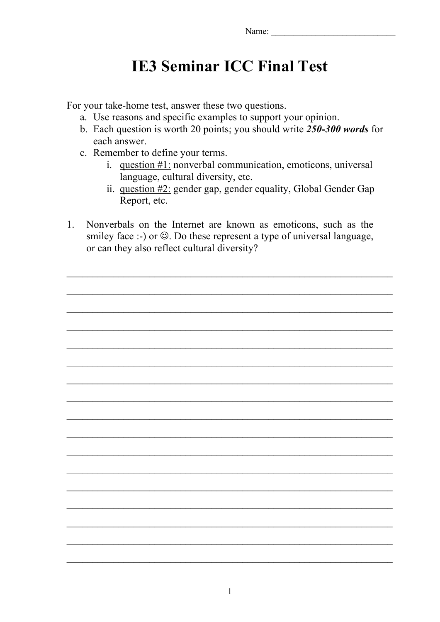## **IE3 Seminar ICC Final Test**

For your take-home test, answer these two questions.

- a. Use reasons and specific examples to support your opinion.
- b. Each question is worth 20 points; you should write *250-300 words* for each answer.
- c. Remember to define your terms.
	- i. question #1: nonverbal communication, emoticons, universal language, cultural diversity, etc.
	- ii. question #2: gender gap, gender equality, Global Gender Gap Report, etc.
- 1. Nonverbals on the Internet are known as emoticons, such as the smiley face :-) or  $\odot$ . Do these represent a type of universal language, or can they also reflect cultural diversity?

 $\_$  , and the contribution of the contribution of  $\mathcal{L}_\mathcal{A}$  , and the contribution of  $\mathcal{L}_\mathcal{A}$ 

 $\_$  , and the contribution of the contribution of  $\mathcal{L}_\mathcal{A}$  , and the contribution of  $\mathcal{L}_\mathcal{A}$ 

 $\_$  , and the contribution of the contribution of  $\mathcal{L}_\mathcal{A}$  , and the contribution of  $\mathcal{L}_\mathcal{A}$ 

 $\_$  , and the contribution of the contribution of  $\mathcal{L}_\mathcal{A}$  , and the contribution of  $\mathcal{L}_\mathcal{A}$ 

 $\_$  , and the contribution of the contribution of  $\mathcal{L}_\mathcal{A}$  , and the contribution of  $\mathcal{L}_\mathcal{A}$ 

 $\_$  , and the contribution of the contribution of  $\mathcal{L}_\mathcal{A}$  , and the contribution of  $\mathcal{L}_\mathcal{A}$ 

 $\_$  , and the contribution of the contribution of  $\mathcal{L}_\mathcal{A}$  , and the contribution of  $\mathcal{L}_\mathcal{A}$ 

 $\_$  , and the contribution of the contribution of  $\mathcal{L}_\mathcal{A}$  , and the contribution of  $\mathcal{L}_\mathcal{A}$ 

 $\_$  , and the contribution of the contribution of  $\mathcal{L}_\mathcal{A}$  , and the contribution of  $\mathcal{L}_\mathcal{A}$ 

 $\_$  , and the contribution of the contribution of  $\mathcal{L}_\mathcal{A}$  , and the contribution of  $\mathcal{L}_\mathcal{A}$ 

 $\_$  , and the contribution of the contribution of  $\mathcal{L}_\mathcal{A}$  , and the contribution of  $\mathcal{L}_\mathcal{A}$ 

 $\mathcal{L}_\text{max} = \mathcal{L}_\text{max} = \mathcal{L}_\text{max} = \mathcal{L}_\text{max} = \mathcal{L}_\text{max} = \mathcal{L}_\text{max} = \mathcal{L}_\text{max} = \mathcal{L}_\text{max} = \mathcal{L}_\text{max} = \mathcal{L}_\text{max} = \mathcal{L}_\text{max} = \mathcal{L}_\text{max} = \mathcal{L}_\text{max} = \mathcal{L}_\text{max} = \mathcal{L}_\text{max} = \mathcal{L}_\text{max} = \mathcal{L}_\text{max} = \mathcal{L}_\text{max} = \mathcal{$ 

 $\mathcal{L}_\text{max} = \mathcal{L}_\text{max} = \mathcal{L}_\text{max} = \mathcal{L}_\text{max} = \mathcal{L}_\text{max} = \mathcal{L}_\text{max} = \mathcal{L}_\text{max} = \mathcal{L}_\text{max} = \mathcal{L}_\text{max} = \mathcal{L}_\text{max} = \mathcal{L}_\text{max} = \mathcal{L}_\text{max} = \mathcal{L}_\text{max} = \mathcal{L}_\text{max} = \mathcal{L}_\text{max} = \mathcal{L}_\text{max} = \mathcal{L}_\text{max} = \mathcal{L}_\text{max} = \mathcal{$ 

 $\_$  , and the contribution of the contribution of  $\mathcal{L}_\mathcal{A}$  , and the contribution of  $\mathcal{L}_\mathcal{A}$ 

 $\_$  , and the contribution of the contribution of  $\mathcal{L}_\mathcal{A}$  , and the contribution of  $\mathcal{L}_\mathcal{A}$ 

 $\_$  , and the contribution of the contribution of  $\mathcal{L}_\mathcal{A}$  , and the contribution of  $\mathcal{L}_\mathcal{A}$ 

 $\mathcal{L}_\text{max} = \mathcal{L}_\text{max} = \mathcal{L}_\text{max} = \mathcal{L}_\text{max} = \mathcal{L}_\text{max} = \mathcal{L}_\text{max} = \mathcal{L}_\text{max} = \mathcal{L}_\text{max} = \mathcal{L}_\text{max} = \mathcal{L}_\text{max} = \mathcal{L}_\text{max} = \mathcal{L}_\text{max} = \mathcal{L}_\text{max} = \mathcal{L}_\text{max} = \mathcal{L}_\text{max} = \mathcal{L}_\text{max} = \mathcal{L}_\text{max} = \mathcal{L}_\text{max} = \mathcal{$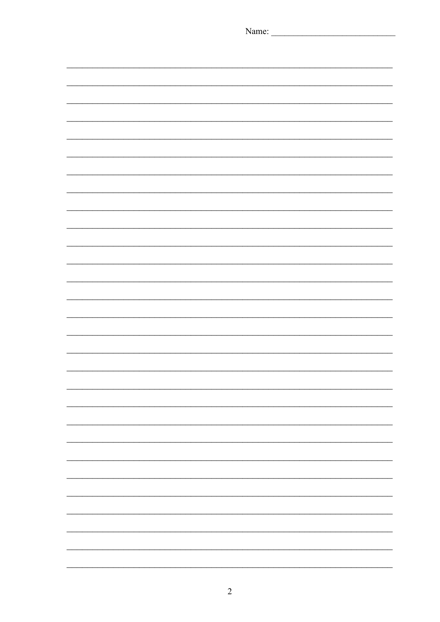| Name: |
|-------|
|       |
|       |
|       |
|       |
|       |
|       |
|       |
|       |
|       |
|       |
|       |
|       |
|       |
|       |
|       |
|       |
|       |
|       |
|       |
|       |
|       |
|       |
|       |
|       |
|       |
|       |
|       |
|       |
|       |
|       |
|       |
|       |
|       |
|       |
|       |
|       |
|       |
|       |
|       |
|       |
|       |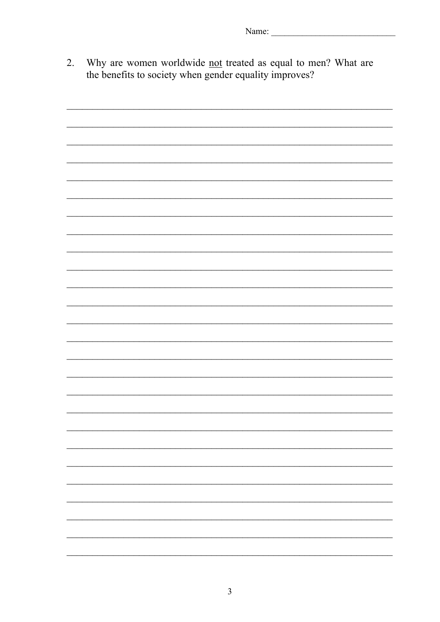Why are women worldwide not treated as equal to men? What are  $\overline{2}$ . the benefits to society when gender equality improves?